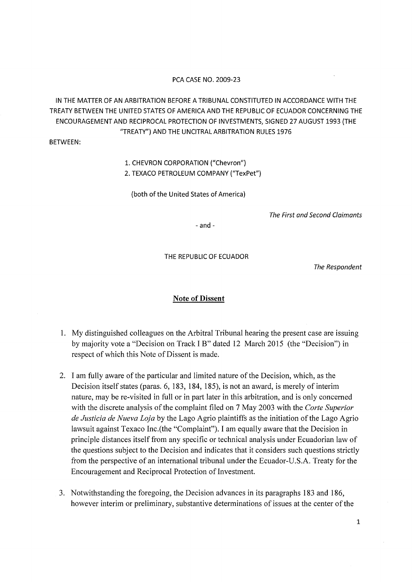## PCA CASE NO. 2009-23

IN THE MATIER OF AN ARBITRATION BEFORE A TRIBUNAL CONSTITUTED IN ACCORDANCE WITH THE TREATY BETWEEN THE UNITED STATES OF AMERICA AND THE REPUBLIC OF ECUADOR CONCERNING THE ENCOURAGEMENT AND RECIPROCAL PROTECTION OF INVESTMENTS, SIGNED 27 AUGUST 1993 (THE "TREATY") AND THE UNCITRAL ARBITRATION RULES 1976

BETWEEN:

## 1. CHEVRON CORPORATION ("Chevron")

2. TEXACO PETROLEUM COMPANY ("TexPet")

(both of the United States of America)

The First and Second Claimants

 $-$ and $-$ 

THE REPUBLIC OF ECUADOR

The Respondent

## Note of Dissent

- 1. My distinguished colleagues on the Arbitral Tribunal hearing the present case are issuing by majority vote a "Decision on Track I B" dated 12 March 2015 (the "Decision") in respect of which this Note of Dissent is made.
- 2. I am fully aware of the particular and limited nature of the Decision, which, as the Decision itself states (paras. 6, 183, 184, 185), is not an award, is merely of interim nature, may be re-visited in full or in part later in this arbitration, and is only concerned with the discrete analysis of the complaint filed on 7 May 2003 with the *Corte Superior de Justicia de Nueva Loja* by the Lago Agrio plaintiffs as the initiation of the Lago Agrio lawsuit against Texaco Inc.(the "Complaint"). I am equally aware that the Decision in principle distances itself from any specific or technical analysis under Ecuadorian law of the questions subject to the Decision and indicates that it considers such questions strictly from the perspective of an international tribunal under the Ecuador-U.S.A. Treaty for the Encouragement and Reciprocal Protection of Investment.
- 3. Notwithstanding the foregoing, the Decision advances in its paragraphs 183 and 186, however interim or preliminary, substantive determinations of issues at the center of the

1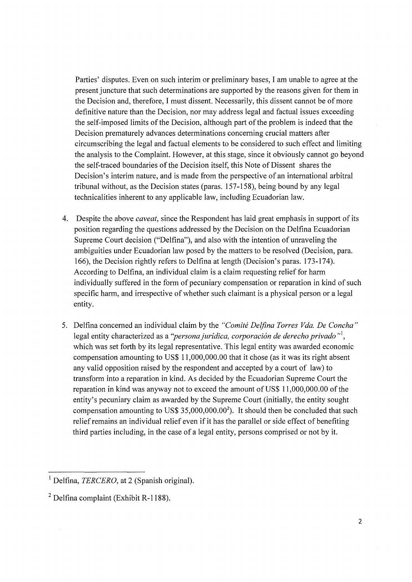Parties' disputes. Even on such interim or preliminary bases, I am unable to agree at the present juncture that such determinations are supported by the reasons given for them in the Decision and, therefore, I must dissent. Necessarily, this dissent cannot be of more definitive nature than the Decision, nor may address legal and factual issues exceeding the self-imposed limits of the Decision, although part of the problem is indeed that the Decision prematurely advances determinations concerning crucial matters after circumscribing the legal and factual elements to be considered to such effect and limiting the analysis to the Complaint. However, at this stage, since it obviously cannot go beyond the self-traced boundaries of the Decision itself, this Note of Dissent shares the Decision's interim nature, and is made from the perspective of an international arbitral tribunal without, as the Decision states (paras. 157-158), being bound by any legal technicalities inherent to any applicable law, including Ecuadorian law.

- 4. Despite the above *caveat,* since the Respondent has laid great emphasis in support of its position regarding the questions addressed by the Decision on the Delfina Ecuadorian Supreme Court decision ("Delfina"), and also with the intention of unraveling the ambiguities under Ecuadorian law posed by the matters to be resolved (Decision, para. 166), the Decision rightly refers to Delfina at length (Decision's paras. 173-174). According to Delfina, an individual claim is a claim requesting relief for harm individually suffered in the form of pecuniary compensation or reparation in kind of such specific harm, and irrespective of whether such claimant is a physical person or a legal entity.
- 5. Delfina concerned an individual claim by the *"Comite Delfina Torres Vda. De Concha"*  legal entity characterized as a *''persona juridica, corporaci6n de derecho privado* "<sup>1</sup> , which was set forth by its legal representative. This legal entity was awarded economic compensation amounting to US\$ 11,000,000.00 that it chose (as it was its right absent any valid opposition raised by the respondent and accepted by a court of law) to transform into a reparation in kind. As decided by the Ecuadorian Supreme Court the reparation in kind was anyway not to exceed the amount of US\$ 11,000,000.00 of the entity's pecuniary claim as awarded by the Supreme Court (initially, the entity sought compensation amounting to US\$ 35,000,000.00 $^2$ ). It should then be concluded that such relief remains an individual relief even if it has the parallel or side effect of benefiting third parties including, in the case of a legal entity, persons comprised or not by it.

<sup>&</sup>lt;sup>1</sup> Delfina, *TERCERO*, at 2 (Spanish original).

 $2$  Delfina complaint (Exhibit R-1188).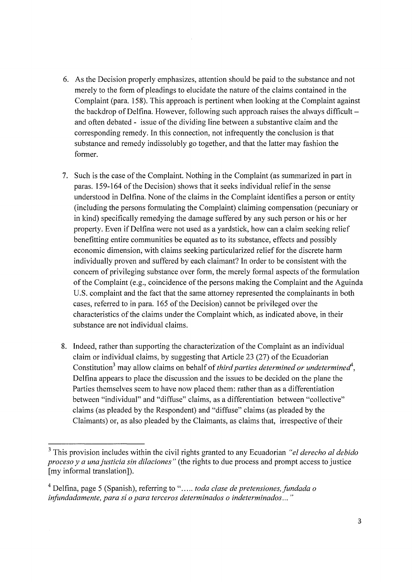- 6. As the Decision properly emphasizes, attention should be paid to the substance and not merely to the form of pleadings to elucidate the nature of the claims contained in the Complaint (para. 158). This approach is pertinent when looking at the Complaint against the backdrop of Delfina. However, following such approach raises the always difficultand often debated - issue of the dividing line between a substantive claim and the corresponding remedy. In this connection, not infrequently the conclusion is that substance and remedy indissolubly go together, and that the latter may fashion the former.
- 7. Such is the case of the Complaint. Nothing in the Complaint (as summarized in part in paras. 159-164 of the Decision) shows that it seeks individual relief in the sense understood in Delfina. None of the claims in the Complaint identifies a person or entity (including the persons formulating the Complaint) claiming compensation (pecuniary or in kind) specifically remedying the damage suffered by any such person or his or her property. Even if Delfina were not used as a yardstick, how can a claim seeking relief benefitting entire communities be equated as to its substance, effects and possibly economic dimension, with claims seeking particularized relief for the discrete harm individually proven and suffered by each claimant? In order to be consistent with the concern of privileging substance over form, the merely formal aspects of the formulation of the Complaint (e.g., coincidence of the persons making the Complaint and the A guinda U.S. complaint and the fact that the same attorney represented the complainants in both cases, referred to in para. 165 of the Decision) cannot be privileged over the characteristics of the claims under the Complaint which, as indicated above, in their substance are not individual claims.
- 8. Indeed, rather than supporting the characterization of the Complaint as an individual claim or individual claims, by suggesting that Article 23 (27) of the Ecuadorian Constitution<sup>3</sup> may allow claims on behalf of *third parties determined or undetermined*<sup>4</sup>, Delfina appears to place the discussion and the issues to be decided on the plane the Parties themselves seem to have now placed them: rather than as a differentiation between "individual" and "diffuse" claims, as a differentiation between "collective" claims (as pleaded by the Respondent) and "diffuse" claims (as pleaded by the Claimants) or, as also pleaded by the Claimants, as claims that, irrespective of their

<sup>3</sup> This provision includes within the civil rights granted to any Ecuadorian *"el derecho al debido proceso y a una justicia sin dilaciones"* (the rights to due process and prompt access to justice [my informal translation]).

<sup>&</sup>lt;sup>4</sup> Delfina, page 5 (Spanish), referring to "..... *toda clase de pretensiones, fundada o infimdadamente, para si o para terceros determinados o indeterminados ... "*